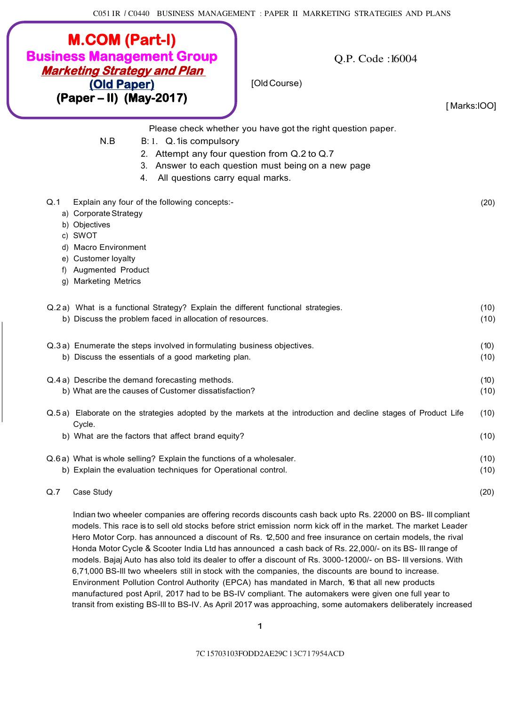| <b>M.COM (Part-I)</b><br><b>Business Management Group</b><br><b>Marketing Strategy and Plan</b><br>(Old Paper)<br>$(Paper - II)$ (May-2017)                                                             | O.P. Code: 16004<br>[Old Course)<br>[Marks:IOO]                                                                                                                 |              |
|---------------------------------------------------------------------------------------------------------------------------------------------------------------------------------------------------------|-----------------------------------------------------------------------------------------------------------------------------------------------------------------|--------------|
| N.B<br>B: 1. Q. 1 is compulsory<br>3.<br>All questions carry equal marks.<br>4.                                                                                                                         | Please check whether you have got the right question paper.<br>2. Attempt any four question from Q.2 to Q.7<br>Answer to each question must being on a new page |              |
| Q.1<br>Explain any four of the following concepts:-<br>a) Corporate Strategy<br>b) Objectives<br>c) SWOT<br>d) Macro Environment<br>e) Customer loyalty<br>f) Augmented Product<br>g) Marketing Metrics |                                                                                                                                                                 | (20)         |
| Q.2 a) What is a functional Strategy? Explain the different functional strategies.<br>b) Discuss the problem faced in allocation of resources.                                                          |                                                                                                                                                                 | (10)<br>(10) |
| Q.3a) Enumerate the steps involved in formulating business objectives.<br>b) Discuss the essentials of a good marketing plan.                                                                           |                                                                                                                                                                 | (10)<br>(10) |
| Q.4 a) Describe the demand forecasting methods.<br>b) What are the causes of Customer dissatisfaction?                                                                                                  |                                                                                                                                                                 | (10)<br>(10) |
| Cycle.<br>b) What are the factors that affect brand equity?                                                                                                                                             | Q.5a) Elaborate on the strategies adopted by the markets at the introduction and decline stages of Product Life                                                 | (10)<br>(10) |
| Q.6a) What is whole selling? Explain the functions of a wholesaler.<br>b) Explain the evaluation techniques for Operational control.                                                                    |                                                                                                                                                                 | (10)<br>(10) |
| Case Study<br>Q.7                                                                                                                                                                                       |                                                                                                                                                                 | (20)         |
|                                                                                                                                                                                                         | Indian two whooler companies are offering reserved discounts each back unto Be, 22000 on BS. Ill compliant                                                      |              |

Indian two wheeler companies are offering records discounts cash back upto Rs. 22000 on BS- Ill compliant models. This race is to sell old stocks before strict emission norm kick off in the market. The market Leader Hero Motor Corp. has announced a discount of Rs. 12,500 and free insurance on certain models, the rival Honda Motor Cycle & Scooter India Ltd has announced a cash back of Rs. 22,000/- on its BS- Ill range of models. Bajaj Auto has also told its dealer to offer a discount of Rs. 3000-12000/- on BS- Ill versions. With 6,71,000 BS-Ill two wheelers still in stock with the companies, the discounts are bound to increase. Environment Pollution Control Authority (EPCA) has mandated in March, 16 that all new products manufactured post April, 2017 had to be BS-IV compliant. The automakers were given one full year to transit from existing BS-Ill to BS-IV. As April 2017 was approaching, some automakers deliberately increased

1

7C 15703103FODD2AE29C l 3C7 l 7954ACD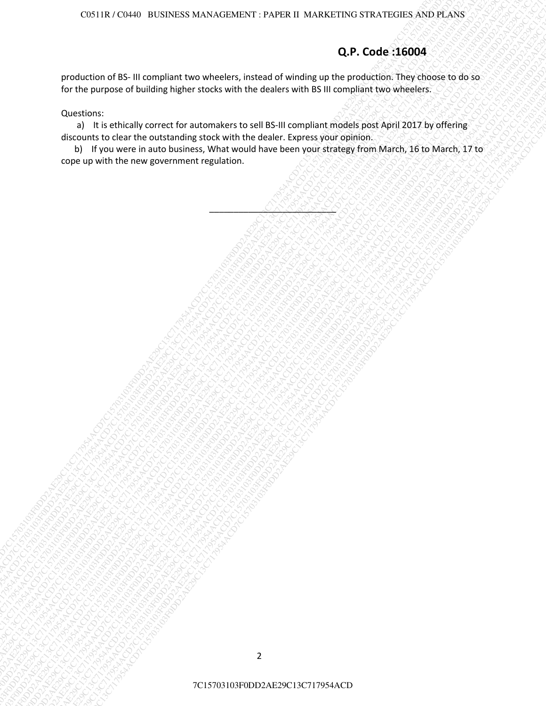## **Q.P. Code :16004**

production of BS- III compliant two wheelers, instead of winding up the production. They choose to do so for the purpose of building higher stocks with the dealers with BS III compliant two wheelers.

### Questions:

a) It is ethically correct for automakers to sell BS-III compliant models post April 2017 by offering discounts to clear the outstanding stock with the dealer. Express your opinion.

**Q.P. Code 156034**<br>
Production of 35-ill complete throw whereas, it states of wholetic up the scotic in The clooke to too to<br>for the production interest and particular activities the production interest and the scotic cont Constructions and analysis advertised on the constraints of the constraints in the constraints of the constraints of the constraints of the constraints of the constraints of the constraints of the constraints of the cons CONTR.COMO RUSING NATIONATE PARTIE IN VARIOTTEN CITY ATTENTS AND IS AN<br>
DICACCION CENT IN CONSULTATION CONTRACTOR CONTRACTOR CONTRACTOR CONTRACTOR CONTRACTOR CONTRACTOR CONTRACTOR DE<br>
DICACCION CENT IN CONSULTATION CONTRAC 2CR11R//CNAD IRLS/R/2C670302013ACM/VIENTER/TRAVIENTER/STRACT/TRAVIENTER/STRACT/TRAVIENTER/STRACT/TRAVIENTER/STRACT/TRAVIENTER/STRACT/TRAVIENTER/STRACT/TRAVIENTER/TRAVIENTER/STRACT/TRAVIENTER/STRACT/TRAVIENTER/TRAVIENTER/ 7C1157(1303) POISINESS MAXIMUMS/T: PITAREL MAXIMUMS/TOTENCOOLSED<br>
THE CHEMICAL CONSULTATION TO THE CHEMICAL CONSULTATION CONSULTATION CONSULTATION<br>
FOR THE CHEMICAL CONSULTATION CONSULTATION CONSULTATION CONSULTATION<br>
THE 7C15703103F0DD2AE29C13C717954ACD7C15703103F0DD2AE29C13C717954ACD7C15703103F0DD2AE29C13C717954ACD7C15703103F0DD2AE29C13C717954ACD7C15703103F0DD2AE29C13C717954ACD7C15703103F0DD2AE29C13C717954ACD COLIST CHE U.S. INCORPORATION : TAN LAT INVESTIGATION STATISTICATION CONTINUES ACTIVITY CONTINUES ACTIVITY CONTINUES ACTIVITY CONTINUES ACTIVITY CONTINUES ACTIVITY CONTINUES ACTIVITY CONTINUES ACTIVITY CONTINUES ACTIVITY C COLIST CHE U.S. INCORPORATION : TAN LAT INVESTIGATION STATISTICATION CONTINUES ACTIVITY CONTINUES ACTIVITY CONTINUES ACTIVITY CONTINUES ACTIVITY CONTINUES ACTIVITY CONTINUES ACTIVITY CONTINUES ACTIVITY CONTINUES ACTIVITY C COLIST CHE U.S. INCORPORATION : TAN LAT INVESTIGATION STATISTICATION CONTINUES ACTIVITY CONTINUES ACTIVITY CONTINUES ACTIVITY CONTINUES ACTIVITY CONTINUES ACTIVITY CONTINUES ACTIVITY CONTINUES ACTIVITY CONTINUES ACTIVITY C COLIST CHE U.S. INCORPORATION : TAN LAT INVESTIGATION STATISTICATION CONTINUES ACTIVITY CONTINUES ACTIVITY CONTINUES ACTIVITY CONTINUES ACTIVITY CONTINUES ACTIVITY CONTINUES ACTIVITY CONTINUES ACTIVITY CONTINUES ACTIVITY C COLIST CHE U.S. INCORPORATION : TAN LAT INVESTIGATION STATISTICATION CONTINUES ACTIVITY CONTINUES ACTIVITY CONTINUES ACTIVITY CONTINUES ACTIVITY CONTINUES ACTIVITY CONTINUES ACTIVITY CONTINUES ACTIVITY CONTINUES ACTIVITY C COLIST CHE U.S. INCORPORATION : TAN LAT INVESTIGATION STATISTICATION CONTINUES ACTIVITY CONTINUES ACTIVITY CONTINUES ACTIVITY CONTINUES ACTIVITY CONTINUES ACTIVITY CONTINUES ACTIVITY CONTINUES ACTIVITY CONTINUES ACTIVITY C COLIST CHE U.S. INCORPORATION : TAN LAT INVESTIGATION STATISTICATION CONTINUES ACTIVITY CONTINUES ACTIVITY CONTINUES ACTIVITY CONTINUES ACTIVITY CONTINUES ACTIVITY CONTINUES ACTIVITY CONTINUES ACTIVITY CONTINUES ACTIVITY C TENER (CICH) BURSINGS AND ONLINER TRYING IN DEVICE THE COORDINATIONS TO CONTINUES ACROSSOBATIONS TO CONTINUES ACROSSOBATIONS TO CONTINUES ACROSSOBATIONS TO CONTINUES ACROSSOBATIONS TO CONTINUES ACROSSOBATIONS TO CONTINUES 1.0011X/C1549 BUSINESS SUCH CALINERY PAYRICAL BUSINESTING CONCILERED CONCILERED SUCH CALINERS SUCH CALINERS CONCILERED CONCILERED CONCILERED CONCILERED CONCILERED CONCILERED CONCILERED CONCILERED CONCILERED CONCILERED CO COSTIEFICOND III.APONSO SEVERENDING : FROPINET INVERSITENTS FERICING ARD PLANS<br>
Productor de S. III apopulare transformation de Artista (metalographical productor de S. III apopulare antique antique antique and according CISCUS (TOMA) RUNINGWAYA/AEA29C/CHEMORY<br>
2CP. Code 256004<br>
and using the SUND interaction of the Michael Hard and Company and Company and Company and Company and Company<br>Constraints a specific process and constraints and ("15°C13. (ΟΥΑ) ΒΙΣΒΑΡΧΑΤΑΙ ΑΝΑΛΟΓΙΚΡΑΤ ΡΑΣΡΙΚΗΙ ΜΑΣΒΑΡΤΑΤΑΣ STRLATIONERS AND PRASS<br>
(D.P. Code 156004<br>
(Distribute of U.B. III) (Programment Wood works who was abute a state of a state of a state of a state of a<br>contin 2C1511312 COMID: RUSSINSS MANAGEMENT : PATER III MARKETENG STRATEGIES ASIDITAS<br>
INDICATION FOR IN CONSULTANT THE VIDEO CONSULTANT IN CONSULTANT IN CONSULTANT IN CONSULTANT IN CONSULTANT IN CONSULTANT IN CONSULTANT IN CONS 7C118.12. (2014) DISSIDEES SARKAVIDENDENT: ENVERENT SACRIFICINES ARRANTICINES SARKAVIDENT SACRIFICINES SARKAVIDENT SACRIFICINES SARKAVIDENT SACRIFICINES SARKAVIDENT SACRIFICINES SARKAVIDENT SACRIFICINES SARKAVIDENT SACRIF b) If you were in auto business, What would have been your strategy from March, 16 to March, 17 to cope up with the new government regulation.

\_\_\_\_\_\_\_\_\_\_\_\_\_\_\_\_\_\_\_\_\_\_\_\_\_\_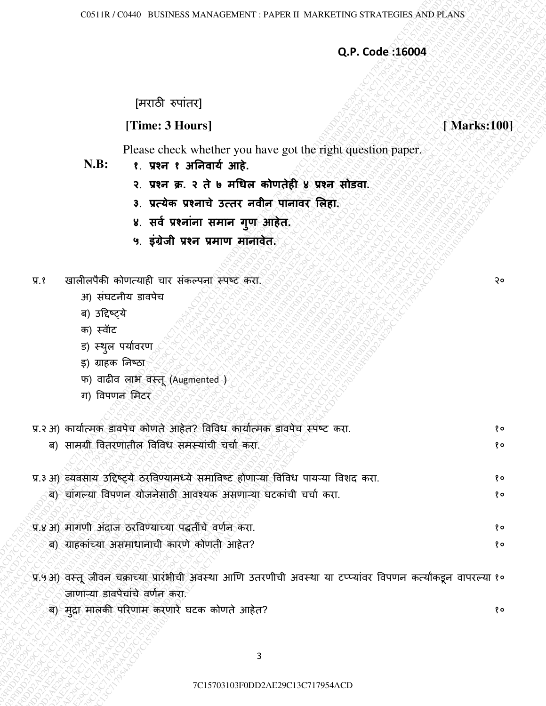## **Q.P. Code :16004**

# [मराठी ǽपाांतर]

## **[Time: 3 Hours]** *SSSSSSSSSS* **[Marks:100]**

- **N.B: १**. **प्रश्न १ अननवार्य आहे.**
	- **२**. **प्रश्न क्र. २ ते ७ मधिल कोणतेही ४ प्रश्न सोडवा.**
	- **३**. **प्रत्र्ेक प्रश्नाचे उत्तर नवीन पानावर ललहा.**
	- ४. सर्व प्रश्नांना समान गुण आहेत.
	- **५**. **इांग्रेजी प्रश्न प्रमाण मानावेत.**
- प्र.१ खालीलपैकी कोणत्याही चार संकल्पना स्पष्ट करा.
	- अ) संघटनीय डावपेच
	- ब) उद्दिष्ट्ये
	- क) स्वॉट
	- ड) स्थुल पर्यावरण
	- इ) ग्राहक ननष्ठा
	- फ) वाढीव लाभ वस्तू (Augmented )
	- ग) विपणन मिटर

|  |  |  | प्र.२ अ) कार्यात्मक डावपेच कोणते आहेत? विविध कार्यात्मक डावपेच स्पष्ट करा. |  |
|--|--|--|----------------------------------------------------------------------------|--|
|--|--|--|----------------------------------------------------------------------------|--|

|       |                |                                                                                                                                                   |                                                             | Q.P. Code: 16004 |
|-------|----------------|---------------------------------------------------------------------------------------------------------------------------------------------------|-------------------------------------------------------------|------------------|
|       |                | [मराठी रुपांतर]                                                                                                                                   |                                                             |                  |
|       |                | [Time: 3 Hours]                                                                                                                                   |                                                             | [Marks:100]      |
|       | N.B:           | १. प्रश्न १ अनिवार्य आहे.                                                                                                                         | Please check whether you have got the right question paper. |                  |
|       |                |                                                                                                                                                   | २. प्रश्न क्र. २ ते ७ मधिल कोणतेही ४ प्रश्न सोडवा.          |                  |
|       |                | 3. प्रत्येक प्रश्नाचे उत्तर नवीन पानावर लिहा.                                                                                                     |                                                             |                  |
|       |                | ४. सर्व प्रश्नांना समान गुण आहेत.                                                                                                                 |                                                             |                  |
|       |                | ५. इंग्रेजी प्रश्न प्रमाण मॉनावेत.                                                                                                                |                                                             |                  |
| प्र.१ |                | खालीलपैकी कोणत्याही चार संकल्पना स्पष्ट करा.                                                                                                      |                                                             | २०               |
|       |                | अ) संघटनीय डावपेच                                                                                                                                 |                                                             |                  |
|       | ब) उद्दिष्ट्ये |                                                                                                                                                   |                                                             |                  |
|       | क) स्वॉट       | ड) स्थुल पर्यावरण                                                                                                                                 |                                                             |                  |
|       |                | इ) ग्राहक निष्ठा                                                                                                                                  |                                                             |                  |
|       |                | फ) वाढीव लाभ वस्तू (Augmented)                                                                                                                    |                                                             |                  |
|       |                | ग) विपणन मिटर                                                                                                                                     |                                                             |                  |
|       |                | प्र.२ अ) कार्यात्मक डावपेच कोणते आहेत? विविध कार्यात्मक डावपेच स्पष्ट करा.                                                                        |                                                             | १०               |
|       |                | ब) सामग्री वितरणातील विविध समस्यांची चर्चा करा.                                                                                                   |                                                             | १०               |
|       |                | प्र.3 अ) व्यवसाय उद्दिष्ट्ये ठरविण्यामध्ये समाविष्ट होणाऱ्या विविध पायऱ्या विशद करा.                                                              |                                                             | १०               |
|       |                | ब) चांगल्या विपणन योजनेसाठी आवश्यक असणाऱ्या घटकांची चर्चा करा.                                                                                    |                                                             | १०               |
|       |                | प्र.४ अ) मागणी अंदाज ठरविण्याच्या पद्धतींचे वर्णन करा.                                                                                            |                                                             | १०               |
|       |                | ब) ग्राहकांच्या असमाधानाची कारणे कोणती आहेत?                                                                                                      |                                                             | १०               |
|       |                | प्र.५ अ) वस्तू जीवन चक्राच्या प्रारंभीची अवस्था आणि उतरणीची अवस्था या टप्प्यांवर विपणन कर्त्यांकडून वापरल्या १०<br>जाणाऱ्या डावपेचांचे वर्णन करा. |                                                             |                  |
|       |                | ब) मुद्रा मालकी परिणाम करणारे घटक कोणते आहेत?                                                                                                     |                                                             | १०               |
|       |                |                                                                                                                                                   |                                                             |                  |
|       |                |                                                                                                                                                   | 3                                                           |                  |
|       |                |                                                                                                                                                   | 7C15703103F0DD2AE29C13C717954ACD                            |                  |
|       |                |                                                                                                                                                   |                                                             |                  |

- प्र.४ अ) मागणी अांदाज ठरववण्याच्या पद्धतीांचȯ वणान करा. १०
	- ब) ग्राहकांच्या असमाधानाची कारणे कोणती आहेत? १० १० व्या परिवर्तन काळा असमाधानाची १० १० व्या परिवर्तन काळा असम
- प्र.५ अ) वस्तू जीवन चक्राच्या प्रारश्मीची अवस्था आणि उतरणीची अवस्था या टप्प्यावर विपणन कत्योकडून वापरल्या १० जाणाऱ्या डावपेचांचे वर्णन करा.
	- ब) मद्रा मालकी परिणाम करणारे घटक कोणते आहेत? अब १० १० अपनी सम्राट पर १० था